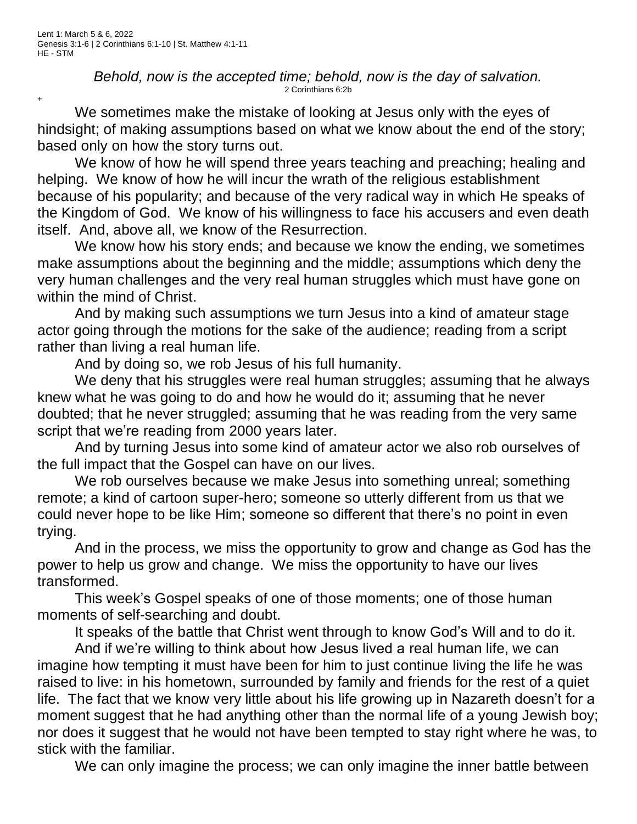+

*Behold, now is the accepted time; behold, now is the day of salvation.* 2 Corinthians 6:2b

We sometimes make the mistake of looking at Jesus only with the eyes of hindsight; of making assumptions based on what we know about the end of the story; based only on how the story turns out.

We know of how he will spend three years teaching and preaching; healing and helping. We know of how he will incur the wrath of the religious establishment because of his popularity; and because of the very radical way in which He speaks of the Kingdom of God. We know of his willingness to face his accusers and even death itself. And, above all, we know of the Resurrection.

We know how his story ends; and because we know the ending, we sometimes make assumptions about the beginning and the middle; assumptions which deny the very human challenges and the very real human struggles which must have gone on within the mind of Christ.

And by making such assumptions we turn Jesus into a kind of amateur stage actor going through the motions for the sake of the audience; reading from a script rather than living a real human life.

And by doing so, we rob Jesus of his full humanity.

We deny that his struggles were real human struggles; assuming that he always knew what he was going to do and how he would do it; assuming that he never doubted; that he never struggled; assuming that he was reading from the very same script that we're reading from 2000 years later.

And by turning Jesus into some kind of amateur actor we also rob ourselves of the full impact that the Gospel can have on our lives.

We rob ourselves because we make Jesus into something unreal; something remote; a kind of cartoon super-hero; someone so utterly different from us that we could never hope to be like Him; someone so different that there's no point in even trying.

And in the process, we miss the opportunity to grow and change as God has the power to help us grow and change. We miss the opportunity to have our lives transformed.

This week's Gospel speaks of one of those moments; one of those human moments of self-searching and doubt.

It speaks of the battle that Christ went through to know God's Will and to do it.

And if we're willing to think about how Jesus lived a real human life, we can imagine how tempting it must have been for him to just continue living the life he was raised to live: in his hometown, surrounded by family and friends for the rest of a quiet life. The fact that we know very little about his life growing up in Nazareth doesn't for a moment suggest that he had anything other than the normal life of a young Jewish boy; nor does it suggest that he would not have been tempted to stay right where he was, to stick with the familiar.

We can only imagine the process; we can only imagine the inner battle between